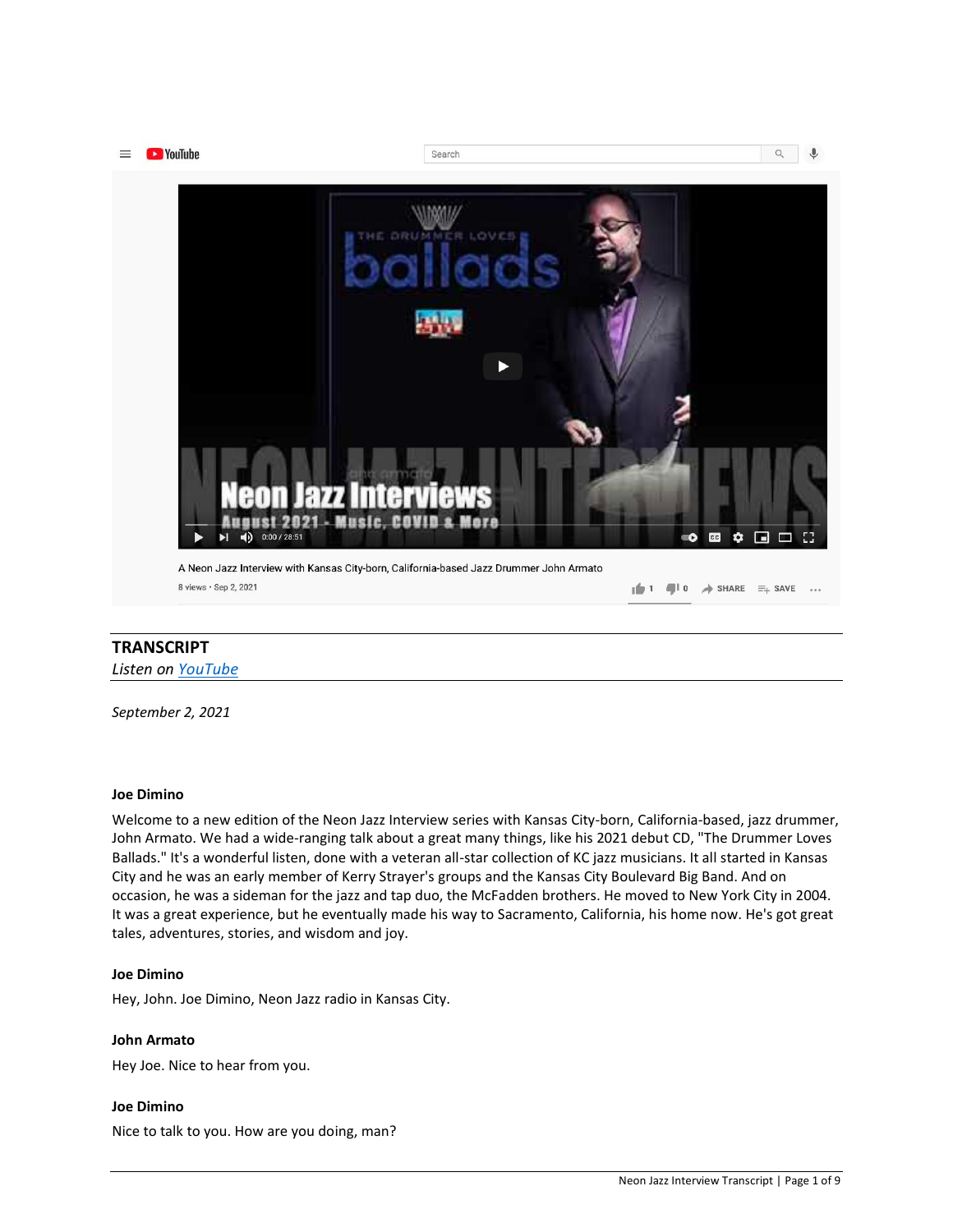

# **TRANSCRIPT**

*Listen on [YouTube](https://youtu.be/zk6_OCBE9xM)*

*September 2, 2021*

# **Joe Dimino**

Welcome to a new edition of the Neon Jazz Interview series with Kansas City-born, California-based, jazz drummer, John Armato. We had a wide-ranging talk about a great many things, like his 2021 debut CD, "The Drummer Loves Ballads." It's a wonderful listen, done with a veteran all-star collection of KC jazz musicians. It all started in Kansas City and he was an early member of Kerry Strayer's groups and the Kansas City Boulevard Big Band. And on occasion, he was a sideman for the jazz and tap duo, the McFadden brothers. He moved to New York City in 2004. It was a great experience, but he eventually made his way to Sacramento, California, his home now. He's got great tales, adventures, stories, and wisdom and joy.

# **Joe Dimino**

Hey, John. Joe Dimino, Neon Jazz radio in Kansas City.

# **John Armato**

Hey Joe. Nice to hear from you.

# **Joe Dimino**

Nice to talk to you. How are you doing, man?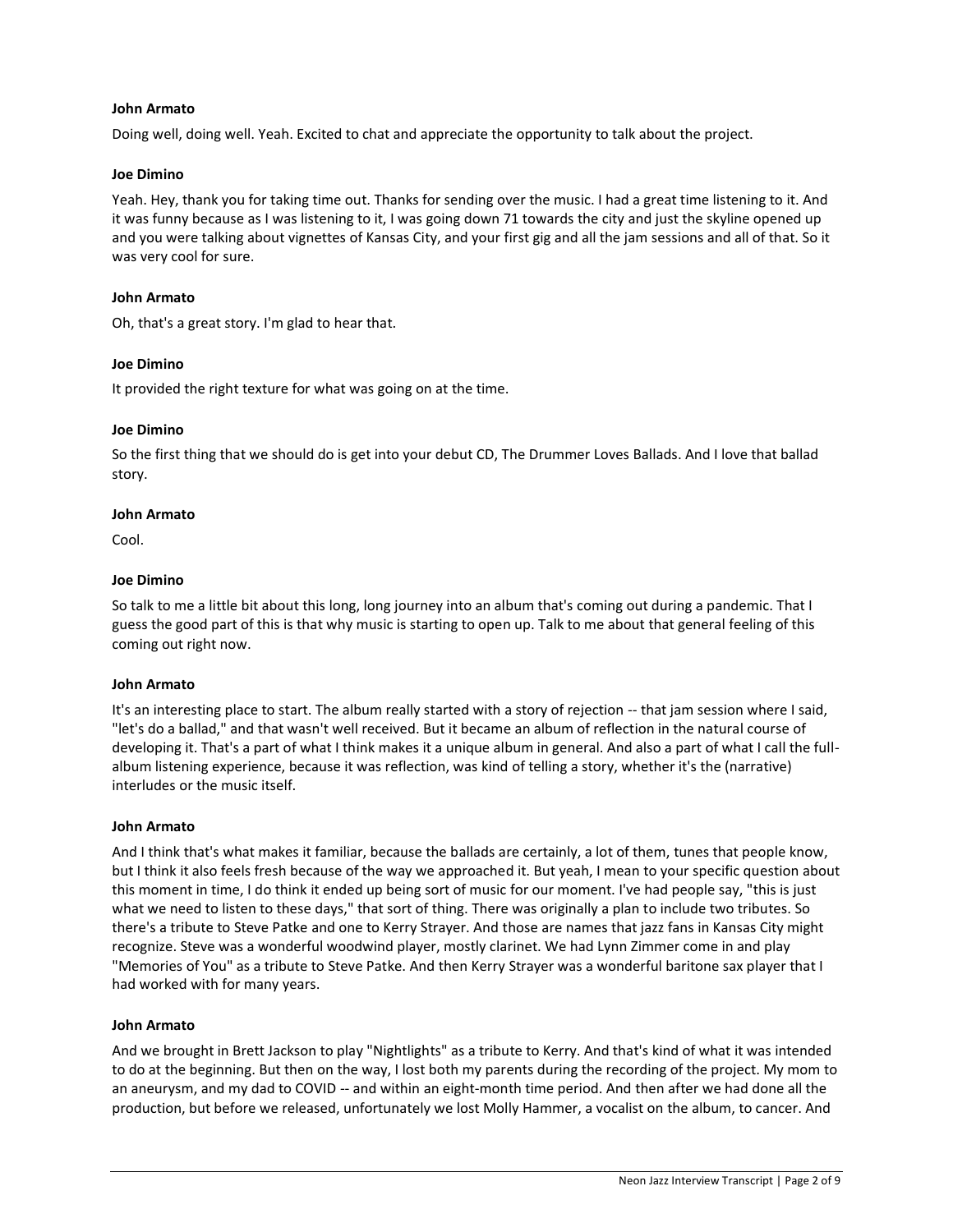### **John Armato**

Doing well, doing well. Yeah. Excited to chat and appreciate the opportunity to talk about the project.

#### **Joe Dimino**

Yeah. Hey, thank you for taking time out. Thanks for sending over the music. I had a great time listening to it. And it was funny because as I was listening to it, I was going down 71 towards the city and just the skyline opened up and you were talking about vignettes of Kansas City, and your first gig and all the jam sessions and all of that. So it was very cool for sure.

### **John Armato**

Oh, that's a great story. I'm glad to hear that.

#### **Joe Dimino**

It provided the right texture for what was going on at the time.

#### **Joe Dimino**

So the first thing that we should do is get into your debut CD, The Drummer Loves Ballads. And I love that ballad story.

#### **John Armato**

Cool.

# **Joe Dimino**

So talk to me a little bit about this long, long journey into an album that's coming out during a pandemic. That I guess the good part of this is that why music is starting to open up. Talk to me about that general feeling of this coming out right now.

#### **John Armato**

It's an interesting place to start. The album really started with a story of rejection -- that jam session where I said, "let's do a ballad," and that wasn't well received. But it became an album of reflection in the natural course of developing it. That's a part of what I think makes it a unique album in general. And also a part of what I call the fullalbum listening experience, because it was reflection, was kind of telling a story, whether it's the (narrative) interludes or the music itself.

#### **John Armato**

And I think that's what makes it familiar, because the ballads are certainly, a lot of them, tunes that people know, but I think it also feels fresh because of the way we approached it. But yeah, I mean to your specific question about this moment in time, I do think it ended up being sort of music for our moment. I've had people say, "this is just what we need to listen to these days," that sort of thing. There was originally a plan to include two tributes. So there's a tribute to Steve Patke and one to Kerry Strayer. And those are names that jazz fans in Kansas City might recognize. Steve was a wonderful woodwind player, mostly clarinet. We had Lynn Zimmer come in and play "Memories of You" as a tribute to Steve Patke. And then Kerry Strayer was a wonderful baritone sax player that I had worked with for many years.

#### **John Armato**

And we brought in Brett Jackson to play "Nightlights" as a tribute to Kerry. And that's kind of what it was intended to do at the beginning. But then on the way, I lost both my parents during the recording of the project. My mom to an aneurysm, and my dad to COVID -- and within an eight-month time period. And then after we had done all the production, but before we released, unfortunately we lost Molly Hammer, a vocalist on the album, to cancer. And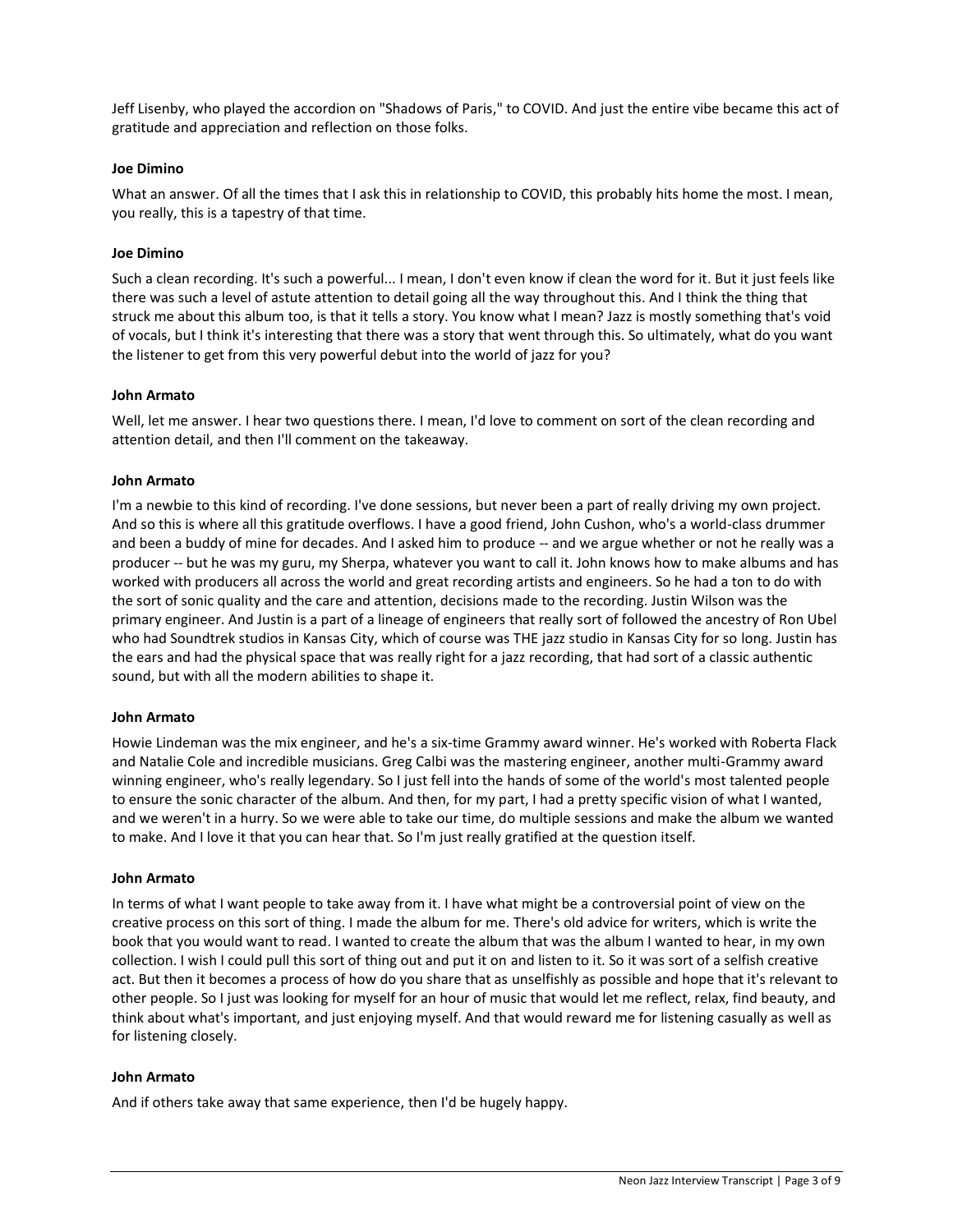Jeff Lisenby, who played the accordion on "Shadows of Paris," to COVID. And just the entire vibe became this act of gratitude and appreciation and reflection on those folks.

# **Joe Dimino**

What an answer. Of all the times that I ask this in relationship to COVID, this probably hits home the most. I mean, you really, this is a tapestry of that time.

### **Joe Dimino**

Such a clean recording. It's such a powerful... I mean, I don't even know if clean the word for it. But it just feels like there was such a level of astute attention to detail going all the way throughout this. And I think the thing that struck me about this album too, is that it tells a story. You know what I mean? Jazz is mostly something that's void of vocals, but I think it's interesting that there was a story that went through this. So ultimately, what do you want the listener to get from this very powerful debut into the world of jazz for you?

#### **John Armato**

Well, let me answer. I hear two questions there. I mean, I'd love to comment on sort of the clean recording and attention detail, and then I'll comment on the takeaway.

#### **John Armato**

I'm a newbie to this kind of recording. I've done sessions, but never been a part of really driving my own project. And so this is where all this gratitude overflows. I have a good friend, John Cushon, who's a world-class drummer and been a buddy of mine for decades. And I asked him to produce -- and we argue whether or not he really was a producer -- but he was my guru, my Sherpa, whatever you want to call it. John knows how to make albums and has worked with producers all across the world and great recording artists and engineers. So he had a ton to do with the sort of sonic quality and the care and attention, decisions made to the recording. Justin Wilson was the primary engineer. And Justin is a part of a lineage of engineers that really sort of followed the ancestry of Ron Ubel who had Soundtrek studios in Kansas City, which of course was THE jazz studio in Kansas City for so long. Justin has the ears and had the physical space that was really right for a jazz recording, that had sort of a classic authentic sound, but with all the modern abilities to shape it.

#### **John Armato**

Howie Lindeman was the mix engineer, and he's a six-time Grammy award winner. He's worked with Roberta Flack and Natalie Cole and incredible musicians. Greg Calbi was the mastering engineer, another multi-Grammy award winning engineer, who's really legendary. So I just fell into the hands of some of the world's most talented people to ensure the sonic character of the album. And then, for my part, I had a pretty specific vision of what I wanted, and we weren't in a hurry. So we were able to take our time, do multiple sessions and make the album we wanted to make. And I love it that you can hear that. So I'm just really gratified at the question itself.

#### **John Armato**

In terms of what I want people to take away from it. I have what might be a controversial point of view on the creative process on this sort of thing. I made the album for me. There's old advice for writers, which is write the book that you would want to read. I wanted to create the album that was the album I wanted to hear, in my own collection. I wish I could pull this sort of thing out and put it on and listen to it. So it was sort of a selfish creative act. But then it becomes a process of how do you share that as unselfishly as possible and hope that it's relevant to other people. So I just was looking for myself for an hour of music that would let me reflect, relax, find beauty, and think about what's important, and just enjoying myself. And that would reward me for listening casually as well as for listening closely.

#### **John Armato**

And if others take away that same experience, then I'd be hugely happy.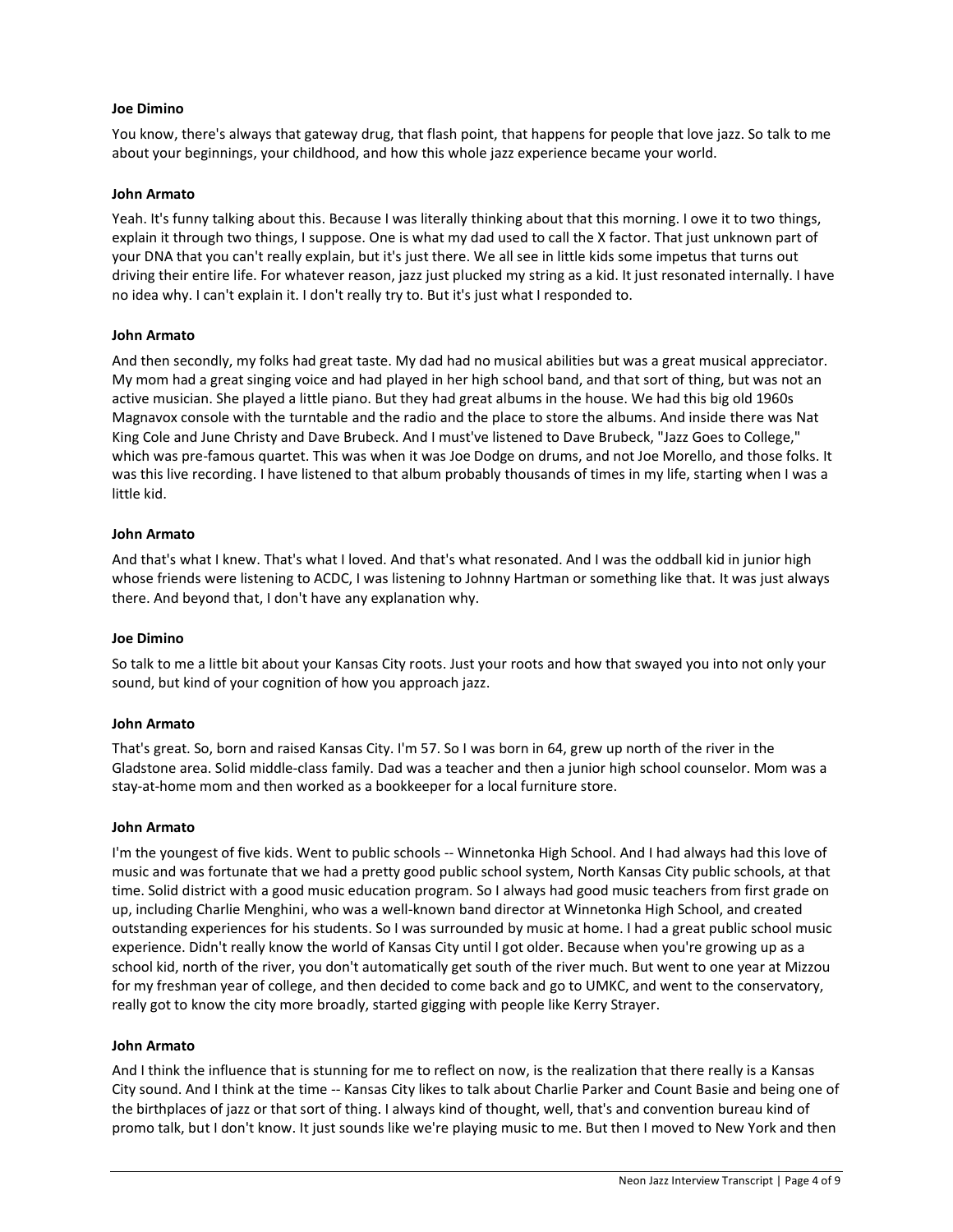#### **Joe Dimino**

You know, there's always that gateway drug, that flash point, that happens for people that love jazz. So talk to me about your beginnings, your childhood, and how this whole jazz experience became your world.

# **John Armato**

Yeah. It's funny talking about this. Because I was literally thinking about that this morning. I owe it to two things, explain it through two things, I suppose. One is what my dad used to call the X factor. That just unknown part of your DNA that you can't really explain, but it's just there. We all see in little kids some impetus that turns out driving their entire life. For whatever reason, jazz just plucked my string as a kid. It just resonated internally. I have no idea why. I can't explain it. I don't really try to. But it's just what I responded to.

#### **John Armato**

And then secondly, my folks had great taste. My dad had no musical abilities but was a great musical appreciator. My mom had a great singing voice and had played in her high school band, and that sort of thing, but was not an active musician. She played a little piano. But they had great albums in the house. We had this big old 1960s Magnavox console with the turntable and the radio and the place to store the albums. And inside there was Nat King Cole and June Christy and Dave Brubeck. And I must've listened to Dave Brubeck, "Jazz Goes to College," which was pre-famous quartet. This was when it was Joe Dodge on drums, and not Joe Morello, and those folks. It was this live recording. I have listened to that album probably thousands of times in my life, starting when I was a little kid.

# **John Armato**

And that's what I knew. That's what I loved. And that's what resonated. And I was the oddball kid in junior high whose friends were listening to ACDC, I was listening to Johnny Hartman or something like that. It was just always there. And beyond that, I don't have any explanation why.

#### **Joe Dimino**

So talk to me a little bit about your Kansas City roots. Just your roots and how that swayed you into not only your sound, but kind of your cognition of how you approach jazz.

#### **John Armato**

That's great. So, born and raised Kansas City. I'm 57. So I was born in 64, grew up north of the river in the Gladstone area. Solid middle-class family. Dad was a teacher and then a junior high school counselor. Mom was a stay-at-home mom and then worked as a bookkeeper for a local furniture store.

#### **John Armato**

I'm the youngest of five kids. Went to public schools -- Winnetonka High School. And I had always had this love of music and was fortunate that we had a pretty good public school system, North Kansas City public schools, at that time. Solid district with a good music education program. So I always had good music teachers from first grade on up, including Charlie Menghini, who was a well-known band director at Winnetonka High School, and created outstanding experiences for his students. So I was surrounded by music at home. I had a great public school music experience. Didn't really know the world of Kansas City until I got older. Because when you're growing up as a school kid, north of the river, you don't automatically get south of the river much. But went to one year at Mizzou for my freshman year of college, and then decided to come back and go to UMKC, and went to the conservatory, really got to know the city more broadly, started gigging with people like Kerry Strayer.

#### **John Armato**

And I think the influence that is stunning for me to reflect on now, is the realization that there really is a Kansas City sound. And I think at the time -- Kansas City likes to talk about Charlie Parker and Count Basie and being one of the birthplaces of jazz or that sort of thing. I always kind of thought, well, that's and convention bureau kind of promo talk, but I don't know. It just sounds like we're playing music to me. But then I moved to New York and then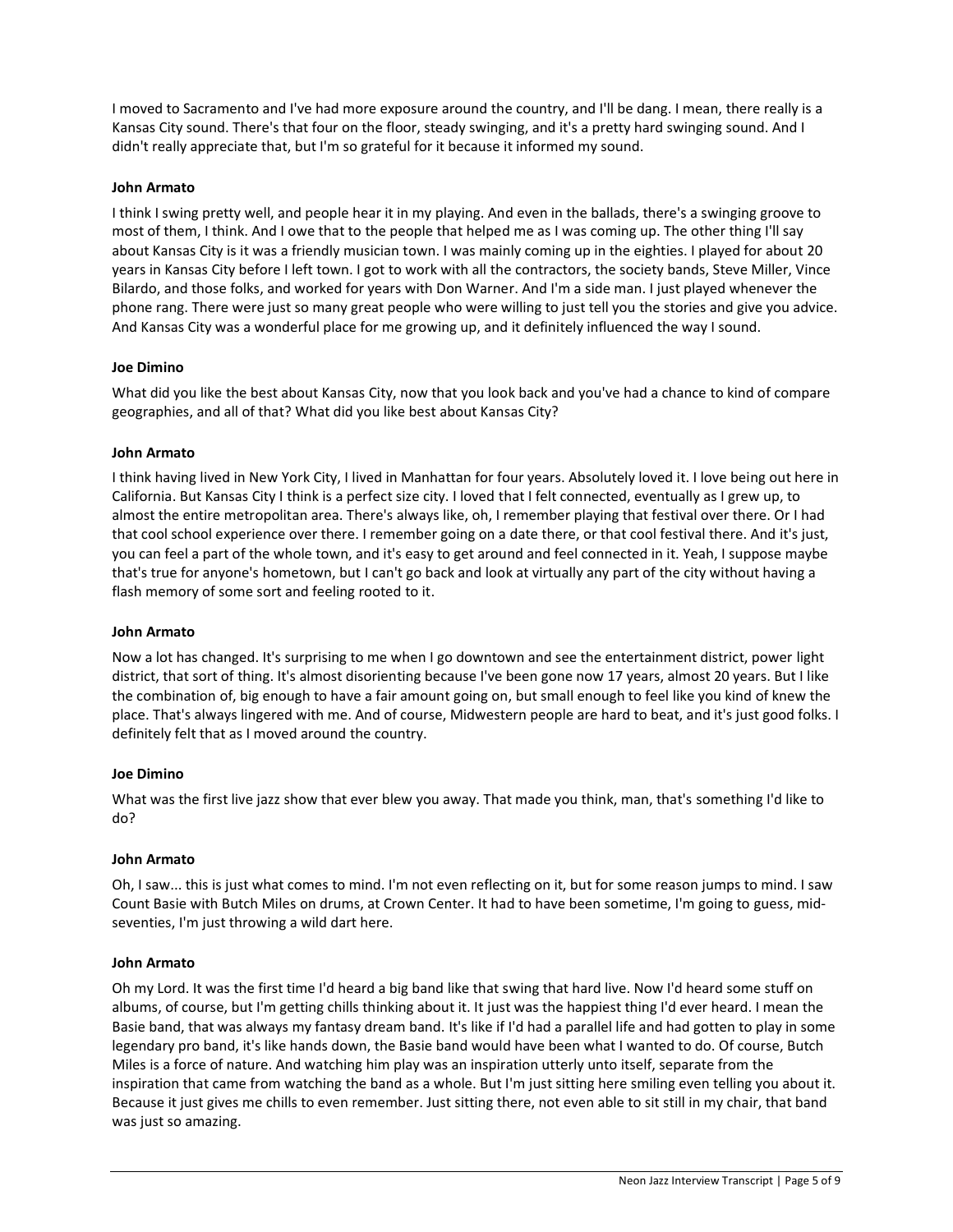I moved to Sacramento and I've had more exposure around the country, and I'll be dang. I mean, there really is a Kansas City sound. There's that four on the floor, steady swinging, and it's a pretty hard swinging sound. And I didn't really appreciate that, but I'm so grateful for it because it informed my sound.

# **John Armato**

I think I swing pretty well, and people hear it in my playing. And even in the ballads, there's a swinging groove to most of them, I think. And I owe that to the people that helped me as I was coming up. The other thing I'll say about Kansas City is it was a friendly musician town. I was mainly coming up in the eighties. I played for about 20 years in Kansas City before I left town. I got to work with all the contractors, the society bands, Steve Miller, Vince Bilardo, and those folks, and worked for years with Don Warner. And I'm a side man. I just played whenever the phone rang. There were just so many great people who were willing to just tell you the stories and give you advice. And Kansas City was a wonderful place for me growing up, and it definitely influenced the way I sound.

# **Joe Dimino**

What did you like the best about Kansas City, now that you look back and you've had a chance to kind of compare geographies, and all of that? What did you like best about Kansas City?

# **John Armato**

I think having lived in New York City, I lived in Manhattan for four years. Absolutely loved it. I love being out here in California. But Kansas City I think is a perfect size city. I loved that I felt connected, eventually as I grew up, to almost the entire metropolitan area. There's always like, oh, I remember playing that festival over there. Or I had that cool school experience over there. I remember going on a date there, or that cool festival there. And it's just, you can feel a part of the whole town, and it's easy to get around and feel connected in it. Yeah, I suppose maybe that's true for anyone's hometown, but I can't go back and look at virtually any part of the city without having a flash memory of some sort and feeling rooted to it.

#### **John Armato**

Now a lot has changed. It's surprising to me when I go downtown and see the entertainment district, power light district, that sort of thing. It's almost disorienting because I've been gone now 17 years, almost 20 years. But I like the combination of, big enough to have a fair amount going on, but small enough to feel like you kind of knew the place. That's always lingered with me. And of course, Midwestern people are hard to beat, and it's just good folks. I definitely felt that as I moved around the country.

#### **Joe Dimino**

What was the first live jazz show that ever blew you away. That made you think, man, that's something I'd like to do?

#### **John Armato**

Oh, I saw... this is just what comes to mind. I'm not even reflecting on it, but for some reason jumps to mind. I saw Count Basie with Butch Miles on drums, at Crown Center. It had to have been sometime, I'm going to guess, midseventies, I'm just throwing a wild dart here.

# **John Armato**

Oh my Lord. It was the first time I'd heard a big band like that swing that hard live. Now I'd heard some stuff on albums, of course, but I'm getting chills thinking about it. It just was the happiest thing I'd ever heard. I mean the Basie band, that was always my fantasy dream band. It's like if I'd had a parallel life and had gotten to play in some legendary pro band, it's like hands down, the Basie band would have been what I wanted to do. Of course, Butch Miles is a force of nature. And watching him play was an inspiration utterly unto itself, separate from the inspiration that came from watching the band as a whole. But I'm just sitting here smiling even telling you about it. Because it just gives me chills to even remember. Just sitting there, not even able to sit still in my chair, that band was just so amazing.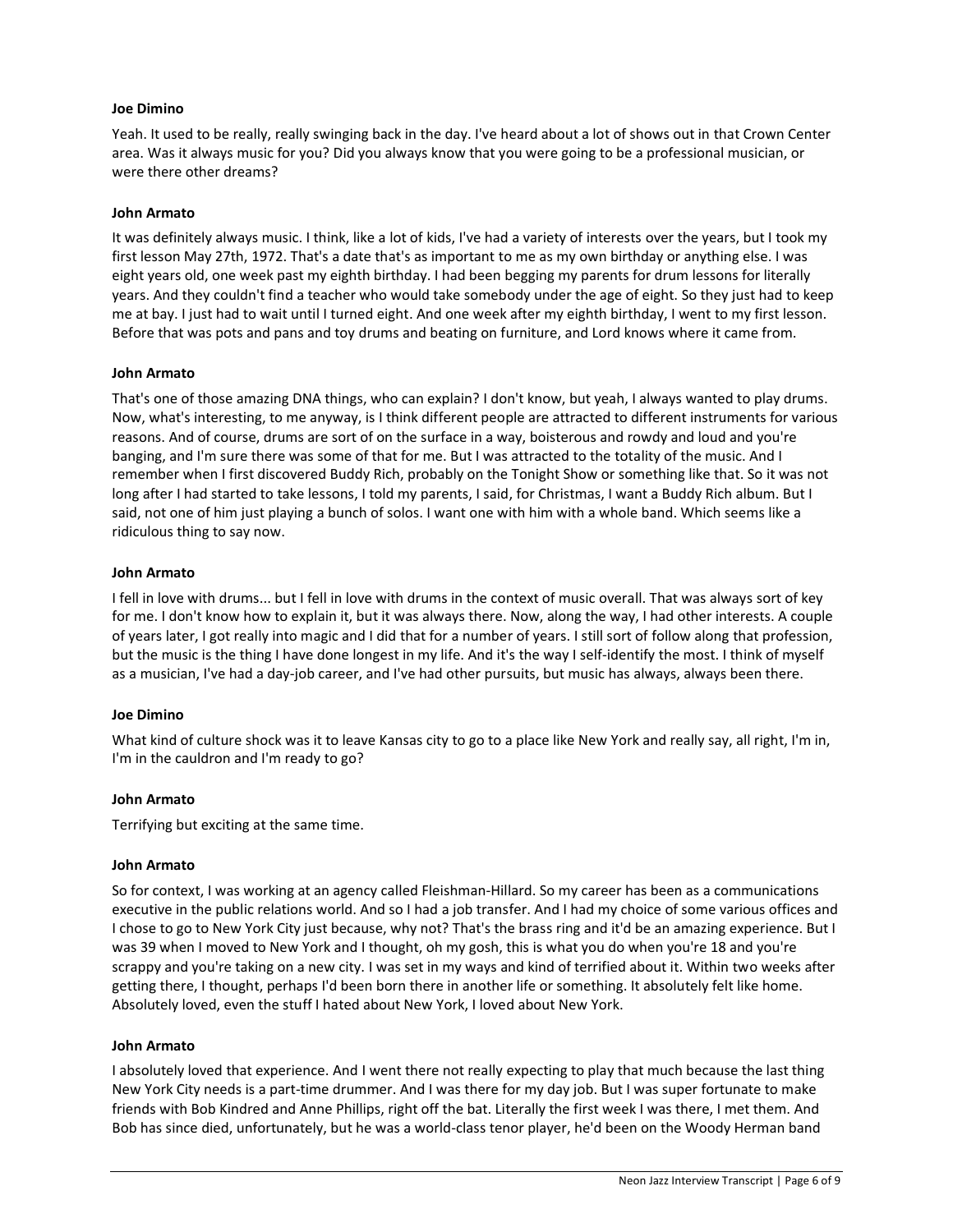# **Joe Dimino**

Yeah. It used to be really, really swinging back in the day. I've heard about a lot of shows out in that Crown Center area. Was it always music for you? Did you always know that you were going to be a professional musician, or were there other dreams?

### **John Armato**

It was definitely always music. I think, like a lot of kids, I've had a variety of interests over the years, but I took my first lesson May 27th, 1972. That's a date that's as important to me as my own birthday or anything else. I was eight years old, one week past my eighth birthday. I had been begging my parents for drum lessons for literally years. And they couldn't find a teacher who would take somebody under the age of eight. So they just had to keep me at bay. I just had to wait until I turned eight. And one week after my eighth birthday, I went to my first lesson. Before that was pots and pans and toy drums and beating on furniture, and Lord knows where it came from.

# **John Armato**

That's one of those amazing DNA things, who can explain? I don't know, but yeah, I always wanted to play drums. Now, what's interesting, to me anyway, is I think different people are attracted to different instruments for various reasons. And of course, drums are sort of on the surface in a way, boisterous and rowdy and loud and you're banging, and I'm sure there was some of that for me. But I was attracted to the totality of the music. And I remember when I first discovered Buddy Rich, probably on the Tonight Show or something like that. So it was not long after I had started to take lessons, I told my parents, I said, for Christmas, I want a Buddy Rich album. But I said, not one of him just playing a bunch of solos. I want one with him with a whole band. Which seems like a ridiculous thing to say now.

# **John Armato**

I fell in love with drums... but I fell in love with drums in the context of music overall. That was always sort of key for me. I don't know how to explain it, but it was always there. Now, along the way, I had other interests. A couple of years later, I got really into magic and I did that for a number of years. I still sort of follow along that profession, but the music is the thing I have done longest in my life. And it's the way I self-identify the most. I think of myself as a musician, I've had a day-job career, and I've had other pursuits, but music has always, always been there.

# **Joe Dimino**

What kind of culture shock was it to leave Kansas city to go to a place like New York and really say, all right, I'm in, I'm in the cauldron and I'm ready to go?

# **John Armato**

Terrifying but exciting at the same time.

#### **John Armato**

So for context, I was working at an agency called Fleishman-Hillard. So my career has been as a communications executive in the public relations world. And so I had a job transfer. And I had my choice of some various offices and I chose to go to New York City just because, why not? That's the brass ring and it'd be an amazing experience. But I was 39 when I moved to New York and I thought, oh my gosh, this is what you do when you're 18 and you're scrappy and you're taking on a new city. I was set in my ways and kind of terrified about it. Within two weeks after getting there, I thought, perhaps I'd been born there in another life or something. It absolutely felt like home. Absolutely loved, even the stuff I hated about New York, I loved about New York.

#### **John Armato**

I absolutely loved that experience. And I went there not really expecting to play that much because the last thing New York City needs is a part-time drummer. And I was there for my day job. But I was super fortunate to make friends with Bob Kindred and Anne Phillips, right off the bat. Literally the first week I was there, I met them. And Bob has since died, unfortunately, but he was a world-class tenor player, he'd been on the Woody Herman band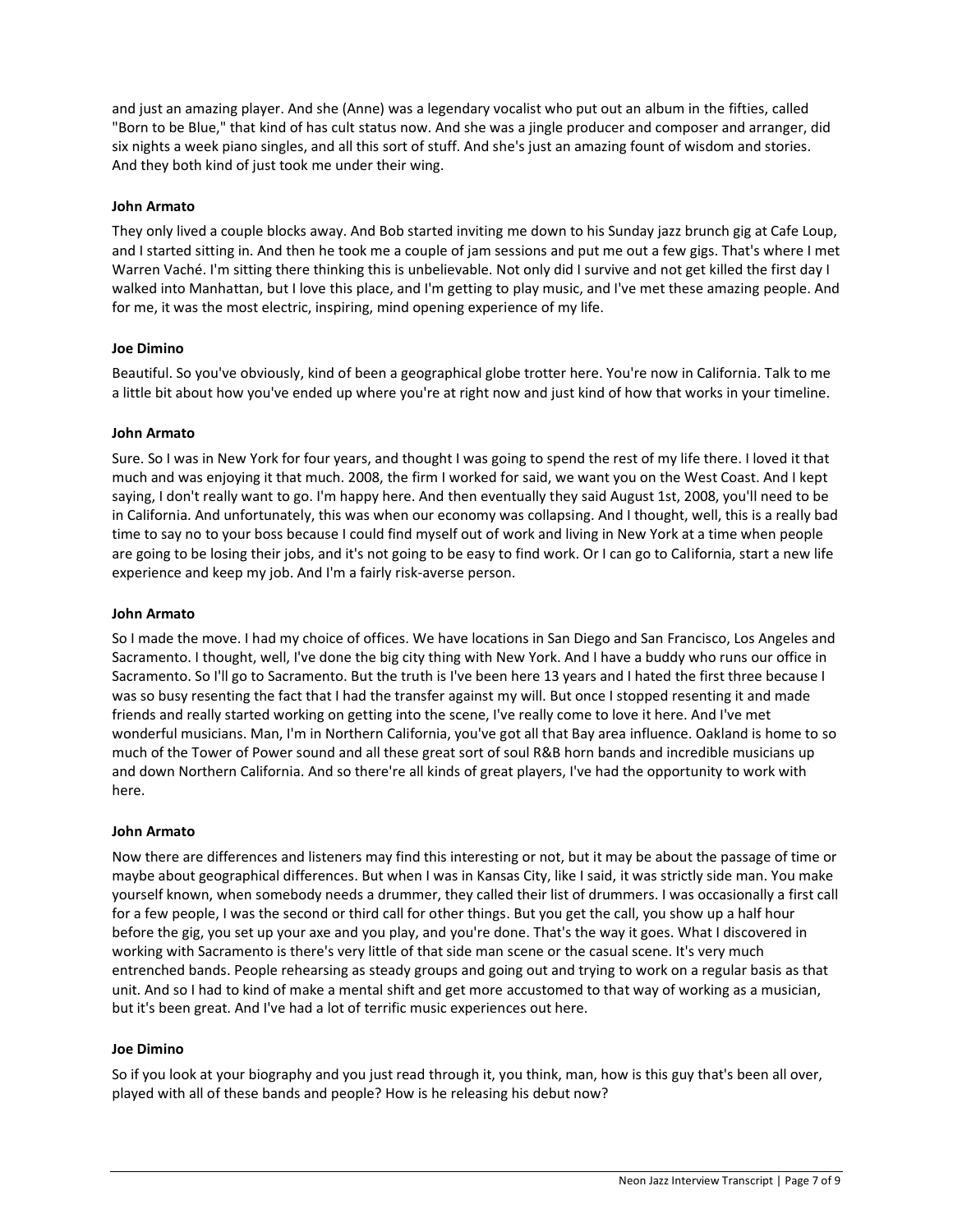and just an amazing player. And she (Anne) was a legendary vocalist who put out an album in the fifties, called "Born to be Blue," that kind of has cult status now. And she was a jingle producer and composer and arranger, did six nights a week piano singles, and all this sort of stuff. And she's just an amazing fount of wisdom and stories. And they both kind of just took me under their wing.

# **John Armato**

They only lived a couple blocks away. And Bob started inviting me down to his Sunday jazz brunch gig at Cafe Loup, and I started sitting in. And then he took me a couple of jam sessions and put me out a few gigs. That's where I met Warren Vaché. I'm sitting there thinking this is unbelievable. Not only did I survive and not get killed the first day I walked into Manhattan, but I love this place, and I'm getting to play music, and I've met these amazing people. And for me, it was the most electric, inspiring, mind opening experience of my life.

# **Joe Dimino**

Beautiful. So you've obviously, kind of been a geographical globe trotter here. You're now in California. Talk to me a little bit about how you've ended up where you're at right now and just kind of how that works in your timeline.

# **John Armato**

Sure. So I was in New York for four years, and thought I was going to spend the rest of my life there. I loved it that much and was enjoying it that much. 2008, the firm I worked for said, we want you on the West Coast. And I kept saying, I don't really want to go. I'm happy here. And then eventually they said August 1st, 2008, you'll need to be in California. And unfortunately, this was when our economy was collapsing. And I thought, well, this is a really bad time to say no to your boss because I could find myself out of work and living in New York at a time when people are going to be losing their jobs, and it's not going to be easy to find work. Or I can go to California, start a new life experience and keep my job. And I'm a fairly risk-averse person.

# **John Armato**

So I made the move. I had my choice of offices. We have locations in San Diego and San Francisco, Los Angeles and Sacramento. I thought, well, I've done the big city thing with New York. And I have a buddy who runs our office in Sacramento. So I'll go to Sacramento. But the truth is I've been here 13 years and I hated the first three because I was so busy resenting the fact that I had the transfer against my will. But once I stopped resenting it and made friends and really started working on getting into the scene, I've really come to love it here. And I've met wonderful musicians. Man, I'm in Northern California, you've got all that Bay area influence. Oakland is home to so much of the Tower of Power sound and all these great sort of soul R&B horn bands and incredible musicians up and down Northern California. And so there're all kinds of great players, I've had the opportunity to work with here.

#### **John Armato**

Now there are differences and listeners may find this interesting or not, but it may be about the passage of time or maybe about geographical differences. But when I was in Kansas City, like I said, it was strictly side man. You make yourself known, when somebody needs a drummer, they called their list of drummers. I was occasionally a first call for a few people, I was the second or third call for other things. But you get the call, you show up a half hour before the gig, you set up your axe and you play, and you're done. That's the way it goes. What I discovered in working with Sacramento is there's very little of that side man scene or the casual scene. It's very much entrenched bands. People rehearsing as steady groups and going out and trying to work on a regular basis as that unit. And so I had to kind of make a mental shift and get more accustomed to that way of working as a musician, but it's been great. And I've had a lot of terrific music experiences out here.

#### **Joe Dimino**

So if you look at your biography and you just read through it, you think, man, how is this guy that's been all over, played with all of these bands and people? How is he releasing his debut now?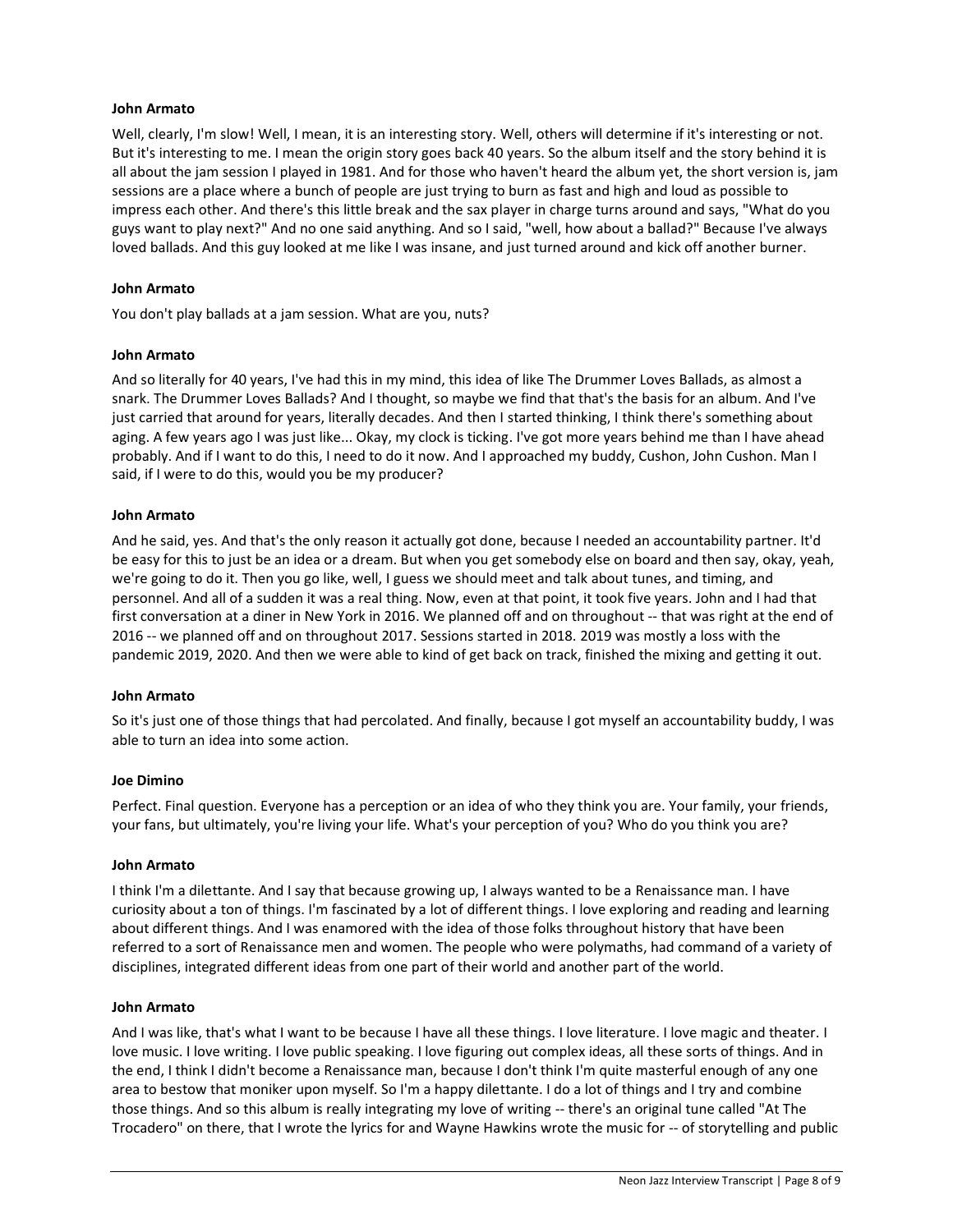#### **John Armato**

Well, clearly, I'm slow! Well, I mean, it is an interesting story. Well, others will determine if it's interesting or not. But it's interesting to me. I mean the origin story goes back 40 years. So the album itself and the story behind it is all about the jam session I played in 1981. And for those who haven't heard the album yet, the short version is, jam sessions are a place where a bunch of people are just trying to burn as fast and high and loud as possible to impress each other. And there's this little break and the sax player in charge turns around and says, "What do you guys want to play next?" And no one said anything. And so I said, "well, how about a ballad?" Because I've always loved ballads. And this guy looked at me like I was insane, and just turned around and kick off another burner.

### **John Armato**

You don't play ballads at a jam session. What are you, nuts?

# **John Armato**

And so literally for 40 years, I've had this in my mind, this idea of like The Drummer Loves Ballads, as almost a snark. The Drummer Loves Ballads? And I thought, so maybe we find that that's the basis for an album. And I've just carried that around for years, literally decades. And then I started thinking, I think there's something about aging. A few years ago I was just like... Okay, my clock is ticking. I've got more years behind me than I have ahead probably. And if I want to do this, I need to do it now. And I approached my buddy, Cushon, John Cushon. Man I said, if I were to do this, would you be my producer?

# **John Armato**

And he said, yes. And that's the only reason it actually got done, because I needed an accountability partner. It'd be easy for this to just be an idea or a dream. But when you get somebody else on board and then say, okay, yeah, we're going to do it. Then you go like, well, I guess we should meet and talk about tunes, and timing, and personnel. And all of a sudden it was a real thing. Now, even at that point, it took five years. John and I had that first conversation at a diner in New York in 2016. We planned off and on throughout -- that was right at the end of 2016 -- we planned off and on throughout 2017. Sessions started in 2018. 2019 was mostly a loss with the pandemic 2019, 2020. And then we were able to kind of get back on track, finished the mixing and getting it out.

#### **John Armato**

So it's just one of those things that had percolated. And finally, because I got myself an accountability buddy, I was able to turn an idea into some action.

#### **Joe Dimino**

Perfect. Final question. Everyone has a perception or an idea of who they think you are. Your family, your friends, your fans, but ultimately, you're living your life. What's your perception of you? Who do you think you are?

#### **John Armato**

I think I'm a dilettante. And I say that because growing up, I always wanted to be a Renaissance man. I have curiosity about a ton of things. I'm fascinated by a lot of different things. I love exploring and reading and learning about different things. And I was enamored with the idea of those folks throughout history that have been referred to a sort of Renaissance men and women. The people who were polymaths, had command of a variety of disciplines, integrated different ideas from one part of their world and another part of the world.

#### **John Armato**

And I was like, that's what I want to be because I have all these things. I love literature. I love magic and theater. I love music. I love writing. I love public speaking. I love figuring out complex ideas, all these sorts of things. And in the end, I think I didn't become a Renaissance man, because I don't think I'm quite masterful enough of any one area to bestow that moniker upon myself. So I'm a happy dilettante. I do a lot of things and I try and combine those things. And so this album is really integrating my love of writing -- there's an original tune called "At The Trocadero" on there, that I wrote the lyrics for and Wayne Hawkins wrote the music for -- of storytelling and public